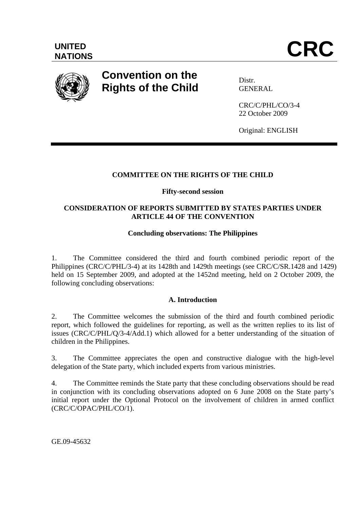

# **Convention on the Rights of the Child**

**Distr** GENERAL

CRC/C/PHL/CO/3-4 22 October 2009

Original: ENGLISH

# **COMMITTEE ON THE RIGHTS OF THE CHILD**

# **Fifty-second session**

# **CONSIDERATION OF REPORTS SUBMITTED BY STATES PARTIES UNDER ARTICLE 44 OF THE CONVENTION**

# **Concluding observations: The Philippines**

1. The Committee considered the third and fourth combined periodic report of the Philippines (CRC/C/PHL/3-4) at its 1428th and 1429th meetings (see CRC/C/SR.1428 and 1429) held on 15 September 2009, and adopted at the 1452nd meeting, held on 2 October 2009, the following concluding observations:

# **A. Introduction**

2. The Committee welcomes the submission of the third and fourth combined periodic report, which followed the guidelines for reporting, as well as the written replies to its list of issues (CRC/C/PHL/Q/3-4/Add.1) which allowed for a better understanding of the situation of children in the Philippines.

3. The Committee appreciates the open and constructive dialogue with the high-level delegation of the State party, which included experts from various ministries.

4. The Committee reminds the State party that these concluding observations should be read in conjunction with its concluding observations adopted on 6 June 2008 on the State party's initial report under the Optional Protocol on the involvement of children in armed conflict (CRC/C/OPAC/PHL/CO/1).

GE.09-45632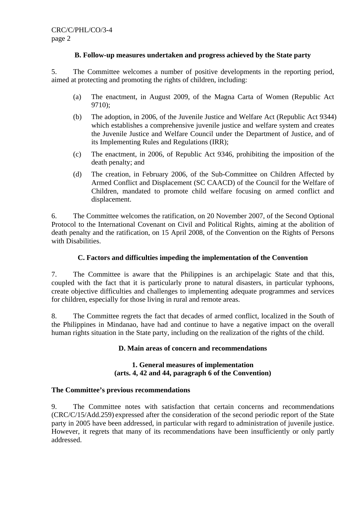# **B. Follow-up measures undertaken and progress achieved by the State party**

5. The Committee welcomes a number of positive developments in the reporting period, aimed at protecting and promoting the rights of children, including:

- (a) The enactment, in August 2009, of the Magna Carta of Women (Republic Act 9710);
- (b) The adoption, in 2006, of the Juvenile Justice and Welfare Act (Republic Act 9344) which establishes a comprehensive juvenile justice and welfare system and creates the Juvenile Justice and Welfare Council under the Department of Justice, and of its Implementing Rules and Regulations (IRR);
- (c) The enactment, in 2006, of Republic Act 9346, prohibiting the imposition of the death penalty; and
- (d) The creation, in February 2006, of the Sub-Committee on Children Affected by Armed Conflict and Displacement (SC CAACD) of the Council for the Welfare of Children, mandated to promote child welfare focusing on armed conflict and displacement.

6. The Committee welcomes the ratification, on 20 November 2007, of the Second Optional Protocol to the International Covenant on Civil and Political Rights, aiming at the abolition of death penalty and the ratification, on 15 April 2008, of the Convention on the Rights of Persons with Disabilities.

## **C. Factors and difficulties impeding the implementation of the Convention**

7. The Committee is aware that the Philippines is an archipelagic State and that this, coupled with the fact that it is particularly prone to natural disasters, in particular typhoons, create objective difficulties and challenges to implementing adequate programmes and services for children, especially for those living in rural and remote areas.

8. The Committee regrets the fact that decades of armed conflict, localized in the South of the Philippines in Mindanao, have had and continue to have a negative impact on the overall human rights situation in the State party, including on the realization of the rights of the child.

## **D. Main areas of concern and recommendations**

## **1. General measures of implementation (arts. 4, 42 and 44, paragraph 6 of the Convention)**

## **The Committee's previous recommendations**

9. The Committee notes with satisfaction that certain concerns and recommendations (CRC/C/15/Add.259) expressed after the consideration of the second periodic report of the State party in 2005 have been addressed, in particular with regard to administration of juvenile justice. However, it regrets that many of its recommendations have been insufficiently or only partly addressed.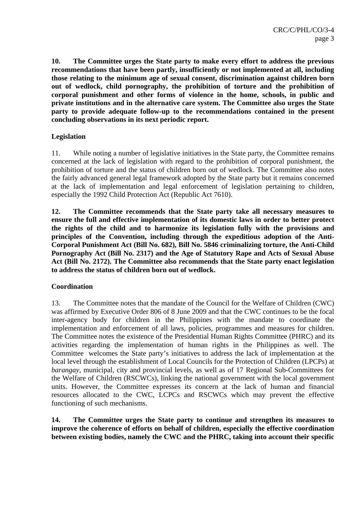**10. The Committee urges the State party to make every effort to address the previous recommendations that have been partly, insufficiently or not implemented at all, including those relating to the minimum age of sexual consent, discrimination against children born out of wedlock, child pornography, the prohibition of torture and the prohibition of corporal punishment and other forms of violence in the home, schools, in public and private institutions and in the alternative care system. The Committee also urges the State party to provide adequate follow-up to the recommendations contained in the present concluding observations in its next periodic report.** 

# **Legislation**

11. While noting a number of legislative initiatives in the State party, the Committee remains concerned at the lack of legislation with regard to the prohibition of corporal punishment, the prohibition of torture and the status of children born out of wedlock. The Committee also notes the fairly advanced general legal framework adopted by the State party but it remains concerned at the lack of implementation and legal enforcement of legislation pertaining to children, especially the 1992 Child Protection Act (Republic Act 7610).

**12. The Committee recommends that the State party take all necessary measures to ensure the full and effective implementation of its domestic laws in order to better protect the rights of the child and to harmonize its legislation fully with the provisions and principles of the Convention, including through the expeditious adoption of the Anti-Corporal Punishment Act (Bill No. 682), Bill No. 5846 criminalizing torture, the Anti-Child Pornography Act (Bill No. 2317) and the Age of Statutory Rape and Acts of Sexual Abuse Act (Bill No. 2172). The Committee also recommends that the State party enact legislation to address the status of children born out of wedlock.** 

# **Coordination**

13. The Committee notes that the mandate of the Council for the Welfare of Children (CWC) was affirmed by Executive Order 806 of 8 June 2009 and that the CWC continues to be the focal inter-agency body for children in the Philippines with the mandate to coordinate the implementation and enforcement of all laws, policies, programmes and measures for children. The Committee notes the existence of the Presidential Human Rights Committee (PHRC) and its activities regarding the implementation of human rights in the Philippines as well. The Committee welcomes the State party's initiatives to address the lack of implementation at the local level through the establishment of Local Councils for the Protection of Children (LPCPs) at *barangay*, municipal, city and provincial levels, as well as of 17 Regional Sub-Committees for the Welfare of Children (RSCWCs), linking the national government with the local government units. However, the Committee expresses its concern at the lack of human and financial resources allocated to the CWC, LCPCs and RSCWCs which may prevent the effective functioning of such mechanisms.

**14. The Committee urges the State party to continue and strengthen its measures to improve the coherence of efforts on behalf of children, especially the effective coordination between existing bodies, namely the CWC and the PHRC, taking into account their specific**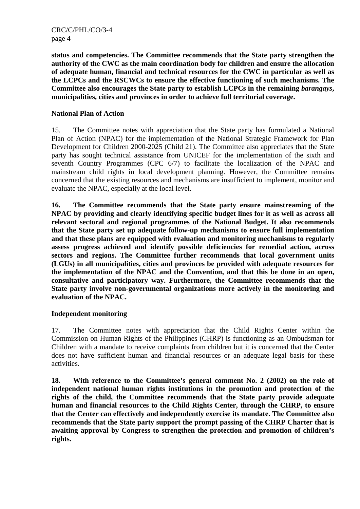CRC/C/PHL/CO/3-4 page 4

**status and competencies. The Committee recommends that the State party strengthen the authority of the CWC as the main coordination body for children and ensure the allocation of adequate human, financial and technical resources for the CWC in particular as well as the LCPCs and the RSCWCs to ensure the effective functioning of such mechanisms. The Committee also encourages the State party to establish LCPCs in the remaining** *barangays***, municipalities, cities and provinces in order to achieve full territorial coverage.** 

## **National Plan of Action**

15. The Committee notes with appreciation that the State party has formulated a National Plan of Action (NPAC) for the implementation of the National Strategic Framework for Plan Development for Children 2000-2025 (Child 21). The Committee also appreciates that the State party has sought technical assistance from UNICEF for the implementation of the sixth and seventh Country Programmes (CPC 6/7) to facilitate the localization of the NPAC and mainstream child rights in local development planning. However, the Committee remains concerned that the existing resources and mechanisms are insufficient to implement, monitor and evaluate the NPAC, especially at the local level.

**16. The Committee recommends that the State party ensure mainstreaming of the NPAC by providing and clearly identifying specific budget lines for it as well as across all relevant sectoral and regional programmes of the National Budget. It also recommends that the State party set up adequate follow-up mechanisms to ensure full implementation and that these plans are equipped with evaluation and monitoring mechanisms to regularly assess progress achieved and identify possible deficiencies for remedial action, across sectors and regions. The Committee further recommends that local government units (LGUs) in all municipalities, cities and provinces be provided with adequate resources for the implementation of the NPAC and the Convention, and that this be done in an open, consultative and participatory way. Furthermore, the Committee recommends that the State party involve non-governmental organizations more actively in the monitoring and evaluation of the NPAC.** 

# **Independent monitoring**

17. The Committee notes with appreciation that the Child Rights Center within the Commission on Human Rights of the Philippines (CHRP) is functioning as an Ombudsman for Children with a mandate to receive complaints from children but it is concerned that the Center does not have sufficient human and financial resources or an adequate legal basis for these activities.

**18. With reference to the Committee's general comment No. 2 (2002) on the role of independent national human rights institutions in the promotion and protection of the rights of the child, the Committee recommends that the State party provide adequate human and financial resources to the Child Rights Center, through the CHRP, to ensure that the Center can effectively and independently exercise its mandate. The Committee also recommends that the State party support the prompt passing of the CHRP Charter that is awaiting approval by Congress to strengthen the protection and promotion of children's rights.**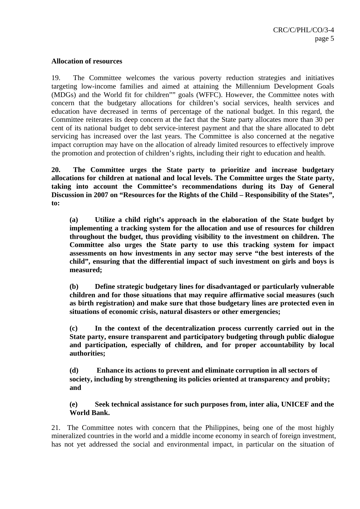## **Allocation of resources**

19. The Committee welcomes the various poverty reduction strategies and initiatives targeting low-income families and aimed at attaining the Millennium Development Goals (MDGs) and the World fit for children"" goals (WFFC). However, the Committee notes with concern that the budgetary allocations for children's social services, health services and education have decreased in terms of percentage of the national budget. In this regard, the Committee reiterates its deep concern at the fact that the State party allocates more than 30 per cent of its national budget to debt service-interest payment and that the share allocated to debt servicing has increased over the last years. The Committee is also concerned at the negative impact corruption may have on the allocation of already limited resources to effectively improve the promotion and protection of children's rights, including their right to education and health.

**20. The Committee urges the State party to prioritize and increase budgetary allocations for children at national and local levels. The Committee urges the State party, taking into account the Committee's recommendations during its Day of General Discussion in 2007 on "Resources for the Rights of the Child – Responsibility of the States", to:**

**(a) Utilize a child right's approach in the elaboration of the State budget by implementing a tracking system for the allocation and use of resources for children throughout the budget, thus providing visibility to the investment on children. The Committee also urges the State party to use this tracking system for impact assessments on how investments in any sector may serve "the best interests of the child", ensuring that the differential impact of such investment on girls and boys is measured;** 

**(b) Define strategic budgetary lines for disadvantaged or particularly vulnerable children and for those situations that may require affirmative social measures (such as birth registration) and make sure that those budgetary lines are protected even in situations of economic crisis, natural disasters or other emergencies;** 

**(c) In the context of the decentralization process currently carried out in the State party, ensure transparent and participatory budgeting through public dialogue and participation, especially of children, and for proper accountability by local authorities;** 

**(d) Enhance its actions to prevent and eliminate corruption in all sectors of society, including by strengthening its policies oriented at transparency and probity; and** 

**(e) Seek technical assistance for such purposes from, inter alia, UNICEF and the World Bank.** 

21. The Committee notes with concern that the Philippines, being one of the most highly mineralized countries in the world and a middle income economy in search of foreign investment, has not yet addressed the social and environmental impact, in particular on the situation of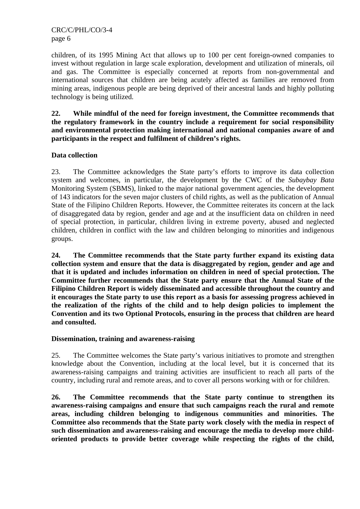children, of its 1995 Mining Act that allows up to 100 per cent foreign-owned companies to invest without regulation in large scale exploration, development and utilization of minerals, oil and gas. The Committee is especially concerned at reports from non-governmental and international sources that children are being acutely affected as families are removed from mining areas, indigenous people are being deprived of their ancestral lands and highly polluting technology is being utilized.

**22. While mindful of the need for foreign investment, the Committee recommends that the regulatory framework in the country include a requirement for social responsibility and environmental protection making international and national companies aware of and participants in the respect and fulfilment of children's rights.** 

# **Data collection**

23. The Committee acknowledges the State party's efforts to improve its data collection system and welcomes, in particular, the development by the CWC of the *Subaybay Bata* Monitoring System (SBMS), linked to the major national government agencies, the development of 143 indicators for the seven major clusters of child rights, as well as the publication of Annual State of the Filipino Children Reports. However, the Committee reiterates its concern at the lack of disaggregated data by region, gender and age and at the insufficient data on children in need of special protection, in particular, children living in extreme poverty, abused and neglected children, children in conflict with the law and children belonging to minorities and indigenous groups.

**24. The Committee recommends that the State party further expand its existing data collection system and ensure that the data is disaggregated by region, gender and age and that it is updated and includes information on children in need of special protection. The Committee further recommends that the State party ensure that the Annual State of the Filipino Children Report is widely disseminated and accessible throughout the country and it encourages the State party to use this report as a basis for assessing progress achieved in the realization of the rights of the child and to help design policies to implement the Convention and its two Optional Protocols, ensuring in the process that children are heard and consulted.** 

# **Dissemination, training and awareness-raising**

25. The Committee welcomes the State party's various initiatives to promote and strengthen knowledge about the Convention, including at the local level, but it is concerned that its awareness-raising campaigns and training activities are insufficient to reach all parts of the country, including rural and remote areas, and to cover all persons working with or for children.

**26. The Committee recommends that the State party continue to strengthen its awareness-raising campaigns and ensure that such campaigns reach the rural and remote areas, including children belonging to indigenous communities and minorities. The Committee also recommends that the State party work closely with the media in respect of such dissemination and awareness-raising and encourage the media to develop more childoriented products to provide better coverage while respecting the rights of the child,**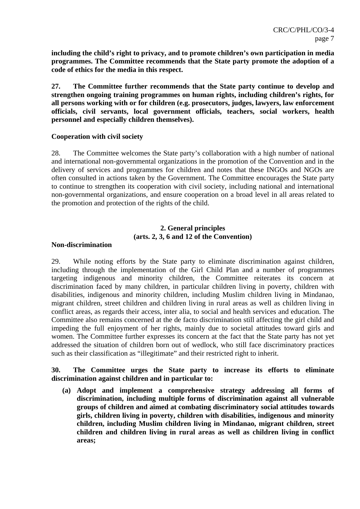**including the child's right to privacy, and to promote children's own participation in media programmes. The Committee recommends that the State party promote the adoption of a code of ethics for the media in this respect.** 

**27. The Committee further recommends that the State party continue to develop and strengthen ongoing training programmes on human rights, including children's rights, for all persons working with or for children (e.g. prosecutors, judges, lawyers, law enforcement officials, civil servants, local government officials, teachers, social workers, health personnel and especially children themselves).** 

## **Cooperation with civil society**

28. The Committee welcomes the State party's collaboration with a high number of national and international non-governmental organizations in the promotion of the Convention and in the delivery of services and programmes for children and notes that these INGOs and NGOs are often consulted in actions taken by the Government. The Committee encourages the State party to continue to strengthen its cooperation with civil society, including national and international non-governmental organizations, and ensure cooperation on a broad level in all areas related to the promotion and protection of the rights of the child.

# **2. General principles (arts. 2, 3, 6 and 12 of the Convention)**

## **Non-discrimination**

29. While noting efforts by the State party to eliminate discrimination against children, including through the implementation of the Girl Child Plan and a number of programmes targeting indigenous and minority children, the Committee reiterates its concern at discrimination faced by many children, in particular children living in poverty, children with disabilities, indigenous and minority children, including Muslim children living in Mindanao, migrant children, street children and children living in rural areas as well as children living in conflict areas, as regards their access, inter alia, to social and health services and education. The Committee also remains concerned at the de facto discrimination still affecting the girl child and impeding the full enjoyment of her rights, mainly due to societal attitudes toward girls and women. The Committee further expresses its concern at the fact that the State party has not yet addressed the situation of children born out of wedlock, who still face discriminatory practices such as their classification as "illegitimate" and their restricted right to inherit.

## **30. The Committee urges the State party to increase its efforts to eliminate discrimination against children and in particular to:**

**(a) Adopt and implement a comprehensive strategy addressing all forms of discrimination, including multiple forms of discrimination against all vulnerable groups of children and aimed at combating discriminatory social attitudes towards girls, children living in poverty, children with disabilities, indigenous and minority children, including Muslim children living in Mindanao, migrant children, street children and children living in rural areas as well as children living in conflict areas;**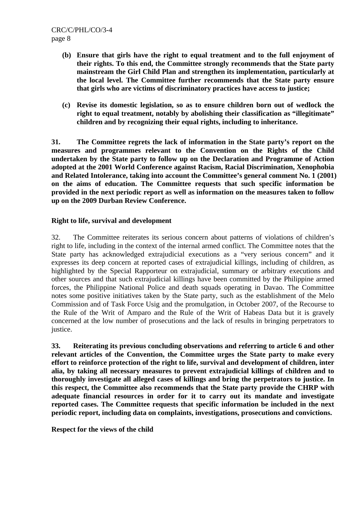- **(b) Ensure that girls have the right to equal treatment and to the full enjoyment of their rights. To this end, the Committee strongly recommends that the State party mainstream the Girl Child Plan and strengthen its implementation, particularly at the local level. The Committee further recommends that the State party ensure that girls who are victims of discriminatory practices have access to justice;**
- **(c) Revise its domestic legislation, so as to ensure children born out of wedlock the right to equal treatment, notably by abolishing their classification as "illegitimate" children and by recognizing their equal rights, including to inheritance.**

**31. The Committee regrets the lack of information in the State party's report on the measures and programmes relevant to the Convention on the Rights of the Child undertaken by the State party to follow up on the Declaration and Programme of Action adopted at the 2001 World Conference against Racism, Racial Discrimination, Xenophobia and Related Intolerance, taking into account the Committee's general comment No. 1 (2001) on the aims of education. The Committee requests that such specific information be provided in the next periodic report as well as information on the measures taken to follow up on the 2009 Durban Review Conference.** 

## **Right to life, survival and development**

32. The Committee reiterates its serious concern about patterns of violations of children's right to life, including in the context of the internal armed conflict. The Committee notes that the State party has acknowledged extrajudicial executions as a "very serious concern" and it expresses its deep concern at reported cases of extrajudicial killings, including of children, as highlighted by the Special Rapporteur on extrajudicial, summary or arbitrary executions and other sources and that such extrajudicial killings have been committed by the Philippine armed forces, the Philippine National Police and death squads operating in Davao. The Committee notes some positive initiatives taken by the State party, such as the establishment of the Melo Commission and of Task Force Usig and the promulgation, in October 2007, of the Recourse to the Rule of the Writ of Amparo and the Rule of the Writ of Habeas Data but it is gravely concerned at the low number of prosecutions and the lack of results in bringing perpetrators to justice.

**33. Reiterating its previous concluding observations and referring to article 6 and other relevant articles of the Convention, the Committee urges the State party to make every effort to reinforce protection of the right to life, survival and development of children, inter alia, by taking all necessary measures to prevent extrajudicial killings of children and to thoroughly investigate all alleged cases of killings and bring the perpetrators to justice. In this respect, the Committee also recommends that the State party provide the CHRP with adequate financial resources in order for it to carry out its mandate and investigate reported cases. The Committee requests that specific information be included in the next periodic report, including data on complaints, investigations, prosecutions and convictions.**

**Respect for the views of the child**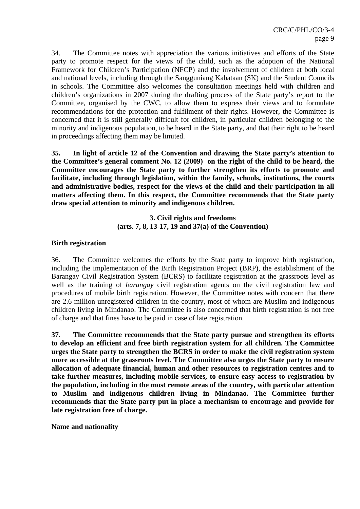34. The Committee notes with appreciation the various initiatives and efforts of the State party to promote respect for the views of the child, such as the adoption of the National Framework for Children's Participation (NFCP) and the involvement of children at both local and national levels, including through the Sangguniang Kabataan (SK) and the Student Councils in schools. The Committee also welcomes the consultation meetings held with children and children's organizations in 2007 during the drafting process of the State party's report to the Committee, organised by the CWC, to allow them to express their views and to formulate recommendations for the protection and fulfilment of their rights. However, the Committee is concerned that it is still generally difficult for children, in particular children belonging to the minority and indigenous population, to be heard in the State party, and that their right to be heard in proceedings affecting them may be limited.

**35. In light of article 12 of the Convention and drawing the State party's attention to the Committee's general comment No. 12 (2009) on the right of the child to be heard, the Committee encourages the State party to further strengthen its efforts to promote and facilitate, including through legislation, within the family, schools, institutions, the courts and administrative bodies, respect for the views of the child and their participation in all matters affecting them. In this respect, the Committee recommends that the State party draw special attention to minority and indigenous children.** 

> **3. Civil rights and freedoms (arts. 7, 8, 13-17, 19 and 37(a) of the Convention)**

## **Birth registration**

36. The Committee welcomes the efforts by the State party to improve birth registration, including the implementation of the Birth Registration Project (BRP), the establishment of the Barangay Civil Registration System (BCRS) to facilitate registration at the grassroots level as well as the training of *barangay* civil registration agents on the civil registration law and procedures of mobile birth registration. However, the Committee notes with concern that there are 2.6 million unregistered children in the country, most of whom are Muslim and indigenous children living in Mindanao. The Committee is also concerned that birth registration is not free of charge and that fines have to be paid in case of late registration.

**37. The Committee recommends that the State party pursue and strengthen its efforts to develop an efficient and free birth registration system for all children. The Committee urges the State party to strengthen the BCRS in order to make the civil registration system more accessible at the grassroots level. The Committee also urges the State party to ensure allocation of adequate financial, human and other resources to registration centres and to take further measures, including mobile services, to ensure easy access to registration by the population, including in the most remote areas of the country, with particular attention to Muslim and indigenous children living in Mindanao. The Committee further recommends that the State party put in place a mechanism to encourage and provide for late registration free of charge.** 

**Name and nationality**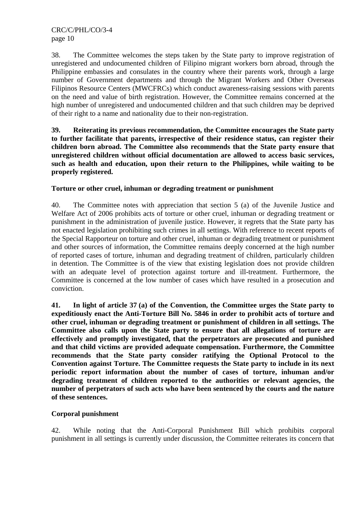38. The Committee welcomes the steps taken by the State party to improve registration of unregistered and undocumented children of Filipino migrant workers born abroad, through the Philippine embassies and consulates in the country where their parents work, through a large number of Government departments and through the Migrant Workers and Other Overseas Filipinos Resource Centers (MWCFRCs) which conduct awareness-raising sessions with parents on the need and value of birth registration. However, the Committee remains concerned at the high number of unregistered and undocumented children and that such children may be deprived of their right to a name and nationality due to their non-registration.

**39. Reiterating its previous recommendation, the Committee encourages the State party to further facilitate that parents, irrespective of their residence status, can register their children born abroad. The Committee also recommends that the State party ensure that unregistered children without official documentation are allowed to access basic services, such as health and education, upon their return to the Philippines, while waiting to be properly registered.** 

# **Torture or other cruel, inhuman or degrading treatment or punishment**

40. The Committee notes with appreciation that section 5 (a) of the Juvenile Justice and Welfare Act of 2006 prohibits acts of torture or other cruel, inhuman or degrading treatment or punishment in the administration of juvenile justice. However, it regrets that the State party has not enacted legislation prohibiting such crimes in all settings. With reference to recent reports of the Special Rapporteur on torture and other cruel, inhuman or degrading treatment or punishment and other sources of information, the Committee remains deeply concerned at the high number of reported cases of torture, inhuman and degrading treatment of children, particularly children in detention. The Committee is of the view that existing legislation does not provide children with an adequate level of protection against torture and ill-treatment. Furthermore, the Committee is concerned at the low number of cases which have resulted in a prosecution and conviction.

**41. In light of article 37 (a) of the Convention, the Committee urges the State party to expeditiously enact the Anti-Torture Bill No. 5846 in order to prohibit acts of torture and other cruel, inhuman or degrading treatment or punishment of children in all settings. The Committee also calls upon the State party to ensure that all allegations of torture are effectively and promptly investigated, that the perpetrators are prosecuted and punished and that child victims are provided adequate compensation. Furthermore, the Committee recommends that the State party consider ratifying the Optional Protocol to the Convention against Torture. The Committee requests the State party to include in its next periodic report information about the number of cases of torture, inhuman and/or degrading treatment of children reported to the authorities or relevant agencies, the number of perpetrators of such acts who have been sentenced by the courts and the nature of these sentences.** 

# **Corporal punishment**

42. While noting that the Anti-Corporal Punishment Bill which prohibits corporal punishment in all settings is currently under discussion, the Committee reiterates its concern that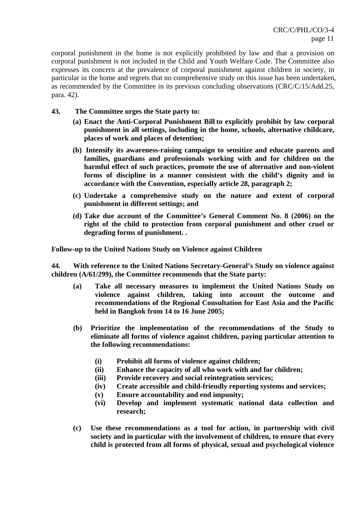corporal punishment in the home is not explicitly prohibited by law and that a provision on corporal punishment is not included in the Child and Youth Welfare Code. The Committee also expresses its concern at the prevalence of corporal punishment against children in society, in particular in the home and regrets that no comprehensive study on this issue has been undertaken, as recommended by the Committee in its previous concluding observations (CRC/C/15/Add.25, para. 42).

- **43. The Committee urges the State party to:** 
	- **(a) Enact the Anti-Corporal Punishment Bill to explicitly prohibit by law corporal punishment in all settings, including in the home, schools, alternative childcare, places of work and places of detention;**
	- **(b) Intensify its awareness-raising campaign to sensitize and educate parents and families, guardians and professionals working with and for children on the harmful effect of such practices, promote the use of alternative and non-violent forms of discipline in a manner consistent with the child's dignity and in accordance with the Convention, especially article 28, paragraph 2;**
	- **(c) Undertake a comprehensive study on the nature and extent of corporal punishment in different settings; and**
	- **(d) Take due account of the Committee's General Comment No. 8 (2006) on the right of the child to protection from corporal punishment and other cruel or degrading forms of punishment. .**

**Follow-up to the United Nations Study on Violence against Children** 

**44. With reference to the United Nations Secretary-General's Study on violence against children (A/61/299), the Committee recommends that the State party:** 

- **(a) Take all necessary measures to implement the United Nations Study on violence against children, taking into account the outcome and recommendations of the Regional Consultation for East Asia and the Pacific held in Bangkok from 14 to 16 June 2005;**
- **(b) Prioritize the implementation of the recommendations of the Study to eliminate all forms of violence against children, paying particular attention to the following recommendations:** 
	- **(i) Prohibit all forms of violence against children;**
	- **(ii) Enhance the capacity of all who work with and for children;**
	- **(iii) Provide recovery and social reintegration services;**
	- **(iv) Create accessible and child-friendly reporting systems and services;**
	- **(v) Ensure accountability and end impunity;**
	- **(vi) Develop and implement systematic national data collection and research;**
- **(c) Use these recommendations as a tool for action, in partnership with civil society and in particular with the involvement of children, to ensure that every child is protected from all forms of physical, sexual and psychological violence**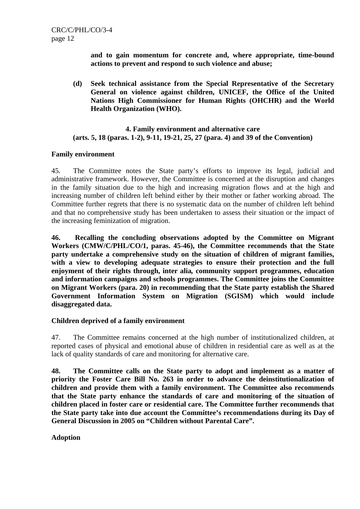**and to gain momentum for concrete and, where appropriate, time-bound actions to prevent and respond to such violence and abuse;** 

**(d) Seek technical assistance from the Special Representative of the Secretary General on violence against children, UNICEF, the Office of the United Nations High Commissioner for Human Rights (OHCHR) and the World Health Organization (WHO).** 

## **4. Family environment and alternative care (arts. 5, 18 (paras. 1-2), 9-11, 19-21, 25, 27 (para. 4) and 39 of the Convention)**

## **Family environment**

45. The Committee notes the State party's efforts to improve its legal, judicial and administrative framework. However, the Committee is concerned at the disruption and changes in the family situation due to the high and increasing migration flows and at the high and increasing number of children left behind either by their mother or father working abroad. The Committee further regrets that there is no systematic data on the number of children left behind and that no comprehensive study has been undertaken to assess their situation or the impact of the increasing feminization of migration.

**46. Recalling the concluding observations adopted by the Committee on Migrant Workers (CMW/C/PHL/CO/1, paras. 45-46), the Committee recommends that the State party undertake a comprehensive study on the situation of children of migrant families, with a view to developing adequate strategies to ensure their protection and the full enjoyment of their rights through, inter alia***,* **community support programmes, education and information campaigns and schools programmes. The Committee joins the Committee on Migrant Workers (para. 20) in recommending that the State party establish the Shared Government Information System on Migration (SGISM) which would include disaggregated data.** 

## **Children deprived of a family environment**

47. The Committee remains concerned at the high number of institutionalized children, at reported cases of physical and emotional abuse of children in residential care as well as at the lack of quality standards of care and monitoring for alternative care.

**48. The Committee calls on the State party to adopt and implement as a matter of priority the Foster Care Bill No. 263 in order to advance the deinstitutionalization of children and provide them with a family environment. The Committee also recommends that the State party enhance the standards of care and monitoring of the situation of children placed in foster care or residential care. The Committee further recommends that the State party take into due account the Committee's recommendations during its Day of General Discussion in 2005 on "Children without Parental Care".** 

**Adoption**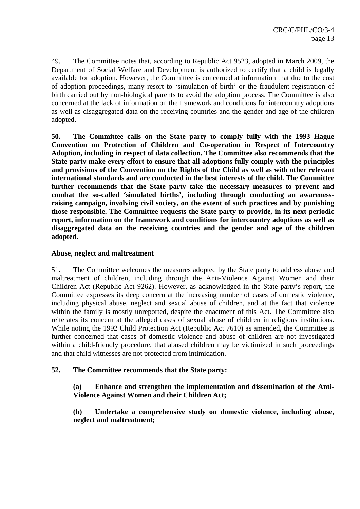49. The Committee notes that, according to Republic Act 9523, adopted in March 2009, the Department of Social Welfare and Development is authorized to certify that a child is legally available for adoption. However, the Committee is concerned at information that due to the cost of adoption proceedings, many resort to 'simulation of birth' or the fraudulent registration of birth carried out by non-biological parents to avoid the adoption process. The Committee is also concerned at the lack of information on the framework and conditions for intercountry adoptions as well as disaggregated data on the receiving countries and the gender and age of the children adopted.

**50. The Committee calls on the State party to comply fully with the 1993 Hague Convention on Protection of Children and Co-operation in Respect of Intercountry Adoption, including in respect of data collection. The Committee also recommends that the State party make every effort to ensure that all adoptions fully comply with the principles and provisions of the Convention on the Rights of the Child as well as with other relevant international standards and are conducted in the best interests of the child. The Committee further recommends that the State party take the necessary measures to prevent and combat the so-called 'simulated births', including through conducting an awarenessraising campaign, involving civil society, on the extent of such practices and by punishing those responsible. The Committee requests the State party to provide, in its next periodic report, information on the framework and conditions for intercountry adoptions as well as disaggregated data on the receiving countries and the gender and age of the children adopted.** 

## **Abuse, neglect and maltreatment**

51. The Committee welcomes the measures adopted by the State party to address abuse and maltreatment of children, including through the Anti-Violence Against Women and their Children Act (Republic Act 9262). However, as acknowledged in the State party's report, the Committee expresses its deep concern at the increasing number of cases of domestic violence, including physical abuse, neglect and sexual abuse of children, and at the fact that violence within the family is mostly unreported, despite the enactment of this Act. The Committee also reiterates its concern at the alleged cases of sexual abuse of children in religious institutions. While noting the 1992 Child Protection Act (Republic Act 7610) as amended, the Committee is further concerned that cases of domestic violence and abuse of children are not investigated within a child-friendly procedure, that abused children may be victimized in such proceedings and that child witnesses are not protected from intimidation.

# **52. The Committee recommends that the State party:**

**(a) Enhance and strengthen the implementation and dissemination of the Anti-Violence Against Women and their Children Act;** 

**(b) Undertake a comprehensive study on domestic violence, including abuse, neglect and maltreatment;**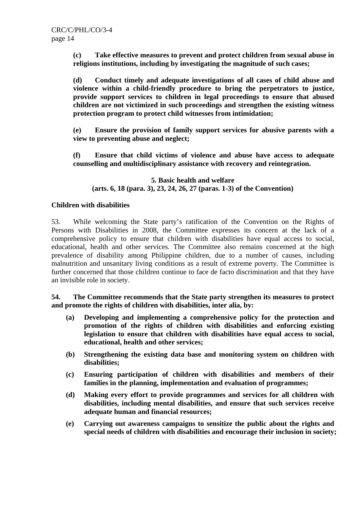**(c) Take effective measures to prevent and protect children from sexual abuse in religions institutions, including by investigating the magnitude of such cases;** 

**(d) Conduct timely and adequate investigations of all cases of child abuse and violence within a child-friendly procedure to bring the perpetrators to justice, provide support services to children in legal proceedings to ensure that abused children are not victimized in such proceedings and strengthen the existing witness protection program to protect child witnesses from intimidation;** 

**(e) Ensure the provision of family support services for abusive parents with a view to preventing abuse and neglect;** 

**(f) Ensure that child victims of violence and abuse have access to adequate counselling and multidisciplinary assistance with recovery and reintegration.** 

## **5. Basic health and welfare (arts. 6, 18 (para. 3), 23, 24, 26, 27 (paras. 1-3) of the Convention)**

## **Children with disabilities**

53. While welcoming the State party's ratification of the Convention on the Rights of Persons with Disabilities in 2008, the Committee expresses its concern at the lack of a comprehensive policy to ensure that children with disabilities have equal access to social, educational, health and other services. The Committee also remains concerned at the high prevalence of disability among Philippine children, due to a number of causes, including malnutrition and unsanitary living conditions as a result of extreme poverty. The Committee is further concerned that those children continue to face de facto discrimination and that they have an invisible role in society.

**54. The Committee recommends that the State party strengthen its measures to protect and promote the rights of children with disabilities, inter alia, by:** 

- **(a) Developing and implementing a comprehensive policy for the protection and promotion of the rights of children with disabilities and enforcing existing legislation to ensure that children with disabilities have equal access to social, educational, health and other services;**
- **(b) Strengthening the existing data base and monitoring system on children with disabilities;**
- **(c) Ensuring participation of children with disabilities and members of their families in the planning, implementation and evaluation of programmes;**
- **(d) Making every effort to provide programmes and services for all children with disabilities, including mental disabilities, and ensure that such services receive adequate human and financial resources;**
- **(e) Carrying out awareness campaigns to sensitize the public about the rights and special needs of children with disabilities and encourage their inclusion in society;**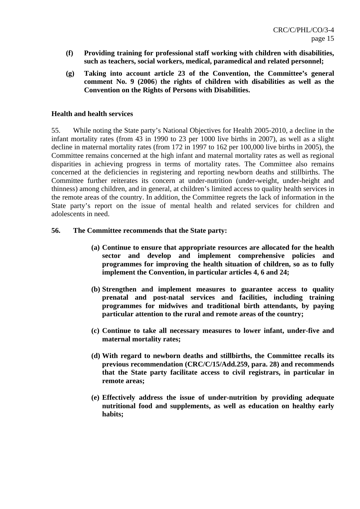- **(f) Providing training for professional staff working with children with disabilities, such as teachers, social workers, medical, paramedical and related personnel;**
- **(g) Taking into account article 23 of the Convention, the Committee's general comment No. 9 (2006**) **the rights of children with disabilities as well as the Convention on the Rights of Persons with Disabilities.**

## **Health and health services**

55. While noting the State party's National Objectives for Health 2005-2010, a decline in the infant mortality rates (from 43 in 1990 to 23 per 1000 live births in 2007), as well as a slight decline in maternal mortality rates (from 172 in 1997 to 162 per 100,000 live births in 2005), the Committee remains concerned at the high infant and maternal mortality rates as well as regional disparities in achieving progress in terms of mortality rates. The Committee also remains concerned at the deficiencies in registering and reporting newborn deaths and stillbirths. The Committee further reiterates its concern at under-nutrition (under-weight, under-height and thinness) among children, and in general, at children's limited access to quality health services in the remote areas of the country. In addition, the Committee regrets the lack of information in the State party's report on the issue of mental health and related services for children and adolescents in need.

## **56. The Committee recommends that the State party:**

- **(a) Continue to ensure that appropriate resources are allocated for the health sector and develop and implement comprehensive policies and programmes for improving the health situation of children, so as to fully implement the Convention, in particular articles 4, 6 and 24;**
- **(b) Strengthen and implement measures to guarantee access to quality prenatal and post-natal services and facilities, including training programmes for midwives and traditional birth attendants, by paying particular attention to the rural and remote areas of the country;**
- **(c) Continue to take all necessary measures to lower infant, under-five and maternal mortality rates;**
- **(d) With regard to newborn deaths and stillbirths, the Committee recalls its previous recommendation (CRC/C/15/Add.259, para. 28) and recommends that the State party facilitate access to civil registrars, in particular in remote areas;**
- **(e) Effectively address the issue of under-nutrition by providing adequate nutritional food and supplements, as well as education on healthy early habits;**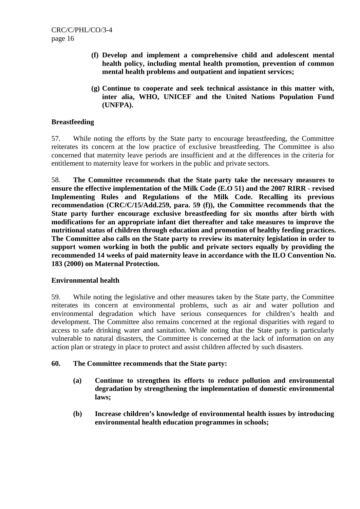- **(f) Develop and implement a comprehensive child and adolescent mental health policy, including mental health promotion, prevention of common mental health problems and outpatient and inpatient services;**
- **(g) Continue to cooperate and seek technical assistance in this matter with, inter alia, WHO, UNICEF and the United Nations Population Fund (UNFPA).**

## **Breastfeeding**

57. While noting the efforts by the State party to encourage breastfeeding, the Committee reiterates its concern at the low practice of exclusive breastfeeding. The Committee is also concerned that maternity leave periods are insufficient and at the differences in the criteria for entitlement to maternity leave for workers in the public and private sectors.

58. **The Committee recommends that the State party take the necessary measures to ensure the effective implementation of the Milk Code (E.O 51) and the 2007 RIRR - revised Implementing Rules and Regulations of the Milk Code. Recalling its previous recommendation (CRC/C/15/Add.259, para. 59 (f)), the Committee recommends that the State party further encourage exclusive breastfeeding for six months after birth with modifications for an appropriate infant diet thereafter and take measures to improve the nutritional status of children through education and promotion of healthy feeding practices. The Committee also calls on the State party to rreview its maternity legislation in order to support women working in both the public and private sectors equally by providing the recommended 14 weeks of paid maternity leave in accordance with the ILO Convention No. 183 (2000) on Maternal Protection.** 

## **Environmental health**

59. While noting the legislative and other measures taken by the State party, the Committee reiterates its concern at environmental problems, such as air and water pollution and environmental degradation which have serious consequences for children's health and development. The Committee also remains concerned at the regional disparities with regard to access to safe drinking water and sanitation. While noting that the State party is particularly vulnerable to natural disasters, the Committee is concerned at the lack of information on any action plan or strategy in place to protect and assist children affected by such disasters.

## **60. The Committee recommends that the State party:**

- **(a) Continue to strengthen its efforts to reduce pollution and environmental degradation by strengthening the implementation of domestic environmental laws;**
- **(b) Increase children's knowledge of environmental health issues by introducing environmental health education programmes in schools;**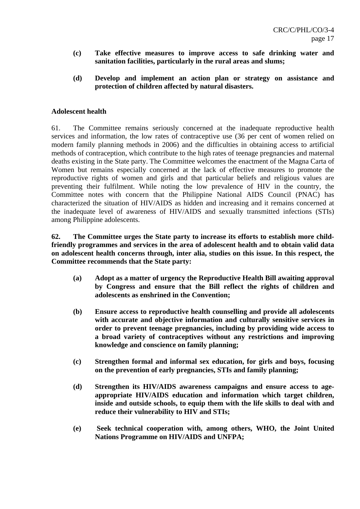- **(c) Take effective measures to improve access to safe drinking water and sanitation facilities, particularly in the rural areas and slums;**
- **(d) Develop and implement an action plan or strategy on assistance and protection of children affected by natural disasters.**

## **Adolescent health**

61. The Committee remains seriously concerned at the inadequate reproductive health services and information, the low rates of contraceptive use (36 per cent of women relied on modern family planning methods in 2006) and the difficulties in obtaining access to artificial methods of contraception, which contribute to the high rates of teenage pregnancies and maternal deaths existing in the State party. The Committee welcomes the enactment of the Magna Carta of Women but remains especially concerned at the lack of effective measures to promote the reproductive rights of women and girls and that particular beliefs and religious values are preventing their fulfilment. While noting the low prevalence of HIV in the country, the Committee notes with concern that the Philippine National AIDS Council (PNAC) has characterized the situation of HIV/AIDS as hidden and increasing and it remains concerned at the inadequate level of awareness of HIV/AIDS and sexually transmitted infections (STIs) among Philippine adolescents.

**62. The Committee urges the State party to increase its efforts to establish more childfriendly programmes and services in the area of adolescent health and to obtain valid data on adolescent health concerns through, inter alia, studies on this issue. In this respect, the Committee recommends that the State party:** 

- **(a) Adopt as a matter of urgency the Reproductive Health Bill awaiting approval by Congress and ensure that the Bill reflect the rights of children and adolescents as enshrined in the Convention;**
- **(b) Ensure access to reproductive health counselling and provide all adolescents with accurate and objective information and culturally sensitive services in order to prevent teenage pregnancies, including by providing wide access to a broad variety of contraceptives without any restrictions and improving knowledge and conscience on family planning;**
- **(c) Strengthen formal and informal sex education, for girls and boys, focusing on the prevention of early pregnancies, STIs and family planning;**
- **(d) Strengthen its HIV/AIDS awareness campaigns and ensure access to ageappropriate HIV/AIDS education and information which target children, inside and outside schools, to equip them with the life skills to deal with and reduce their vulnerability to HIV and STIs;**
- **(e) Seek technical cooperation with, among others, WHO, the Joint United Nations Programme on HIV/AIDS and UNFPA;**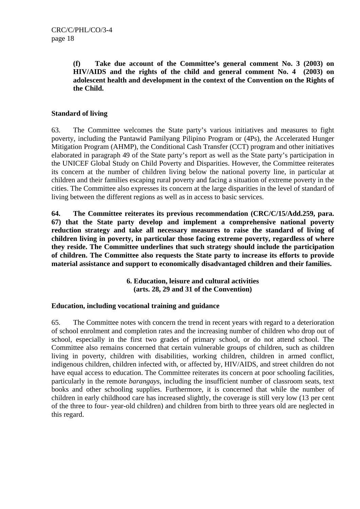**(f) Take due account of the Committee's general comment No. 3 (2003) on HIV/AIDS and the rights of the child and general comment No. 4 (2003) on adolescent health and development in the context of the Convention on the Rights of the Child.** 

# **Standard of living**

63. The Committee welcomes the State party's various initiatives and measures to fight poverty, including the Pantawid Pamilyang Pilipino Program or (4Ps), the Accelerated Hunger Mitigation Program (AHMP), the Conditional Cash Transfer (CCT) program and other initiatives elaborated in paragraph 49 of the State party's report as well as the State party's participation in the UNICEF Global Study on Child Poverty and Disparities. However, the Committee reiterates its concern at the number of children living below the national poverty line, in particular at children and their families escaping rural poverty and facing a situation of extreme poverty in the cities. The Committee also expresses its concern at the large disparities in the level of standard of living between the different regions as well as in access to basic services.

**64. The Committee reiterates its previous recommendation (CRC/C/15/Add.259, para. 67) that the State party develop and implement a comprehensive national poverty reduction strategy and take all necessary measures to raise the standard of living of children living in poverty, in particular those facing extreme poverty, regardless of where they reside. The Committee underlines that such strategy should include the participation of children. The Committee also requests the State party to increase its efforts to provide material assistance and support to economically disadvantaged children and their families.** 

> **6. Education, leisure and cultural activities (arts. 28, 29 and 31 of the Convention)**

# **Education, including vocational training and guidance**

65. The Committee notes with concern the trend in recent years with regard to a deterioration of school enrolment and completion rates and the increasing number of children who drop out of school, especially in the first two grades of primary school, or do not attend school. The Committee also remains concerned that certain vulnerable groups of children, such as children living in poverty, children with disabilities, working children, children in armed conflict, indigenous children, children infected with, or affected by, HIV/AIDS, and street children do not have equal access to education. The Committee reiterates its concern at poor schooling facilities, particularly in the remote *barangays*, including the insufficient number of classroom seats, text books and other schooling supplies. Furthermore, it is concerned that while the number of children in early childhood care has increased slightly, the coverage is still very low (13 per cent of the three to four- year-old children) and children from birth to three years old are neglected in this regard.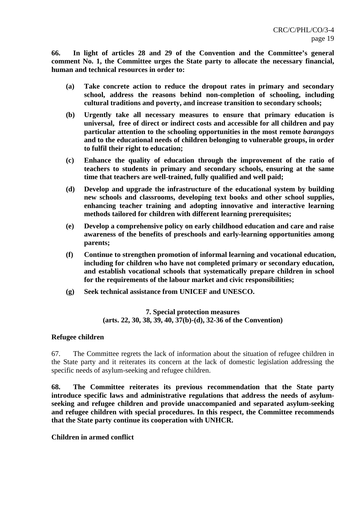**66. In light of articles 28 and 29 of the Convention and the Committee's general comment No. 1, the Committee urges the State party to allocate the necessary financial, human and technical resources in order to:** 

- **(a) Take concrete action to reduce the dropout rates in primary and secondary school, address the reasons behind non-completion of schooling, including cultural traditions and poverty, and increase transition to secondary schools;**
- **(b) Urgently take all necessary measures to ensure that primary education is universal, free of direct or indirect costs and accessible for all children and pay particular attention to the schooling opportunities in the most remote** *barangays* **and to the educational needs of children belonging to vulnerable groups, in order to fulfil their right to education;**
- **(c) Enhance the quality of education through the improvement of the ratio of teachers to students in primary and secondary schools, ensuring at the same time that teachers are well-trained, fully qualified and well paid;**
- **(d) Develop and upgrade the infrastructure of the educational system by building new schools and classrooms, developing text books and other school supplies, enhancing teacher training and adopting innovative and interactive learning methods tailored for children with different learning prerequisites;**
- **(e) Develop a comprehensive policy on early childhood education and care and raise awareness of the benefits of preschools and early-learning opportunities among parents;**
- **(f) Continue to strengthen promotion of informal learning and vocational education, including for children who have not completed primary or secondary education, and establish vocational schools that systematically prepare children in school for the requirements of the labour market and civic responsibilities;**
- **(g) Seek technical assistance from UNICEF and UNESCO.**

## **7. Special protection measures (arts. 22, 30, 38, 39, 40, 37(b)-(d), 32-36 of the Convention)**

## **Refugee children**

67. The Committee regrets the lack of information about the situation of refugee children in the State party and it reiterates its concern at the lack of domestic legislation addressing the specific needs of asylum-seeking and refugee children.

**68. The Committee reiterates its previous recommendation that the State party introduce specific laws and administrative regulations that address the needs of asylumseeking and refugee children and provide unaccompanied and separated asylum-seeking and refugee children with special procedures. In this respect, the Committee recommends that the State party continue its cooperation with UNHCR.**

**Children in armed conflict**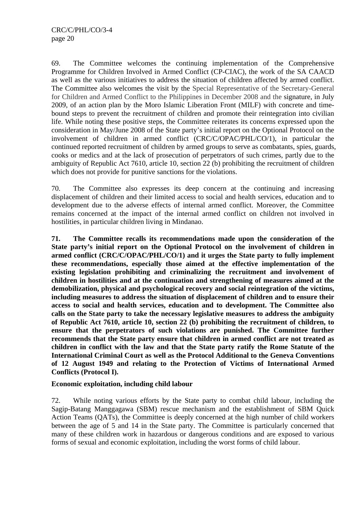69. The Committee welcomes the continuing implementation of the Comprehensive Programme for Children Involved in Armed Conflict (CP-CIAC), the work of the SA CAACD as well as the various initiatives to address the situation of children affected by armed conflict. The Committee also welcomes the visit by the Special Representative of the Secretary-General for Children and Armed Conflict to the Philippines in December 2008 and the signature, in July 2009, of an action plan by the Moro Islamic Liberation Front (MILF) with concrete and timebound steps to prevent the recruitment of children and promote their reintegration into civilian life. While noting these positive steps, the Committee reiterates its concerns expressed upon the consideration in May/June 2008 of the State party's initial report on the Optional Protocol on the involvement of children in armed conflict (CRC/C/OPAC/PHL/CO/1), in particular the continued reported recruitment of children by armed groups to serve as combatants, spies, guards, cooks or medics and at the lack of prosecution of perpetrators of such crimes, partly due to the ambiguity of Republic Act 7610, article 10, section 22 (b) prohibiting the recruitment of children which does not provide for punitive sanctions for the violations.

70. The Committee also expresses its deep concern at the continuing and increasing displacement of children and their limited access to social and health services, education and to development due to the adverse effects of internal armed conflict. Moreover, the Committee remains concerned at the impact of the internal armed conflict on children not involved in hostilities, in particular children living in Mindanao.

**71. The Committee recalls its recommendations made upon the consideration of the State party's initial report on the Optional Protocol on the involvement of children in armed conflict (CRC/C/OPAC/PHL/CO/1) and it urges the State party to fully implement these recommendations, especially those aimed at the effective implementation of the existing legislation prohibiting and criminalizing the recruitment and involvement of children in hostilities and at the continuation and strengthening of measures aimed at the demobilization, physical and psychological recovery and social reintegration of the victims, including measures to address the situation of displacement of children and to ensure their access to social and health services, education and to development. The Committee also calls on the State party to take the necessary legislative measures to address the ambiguity of Republic Act 7610, article 10, section 22 (b) prohibiting the recruitment of children, to ensure that the perpetrators of such violations are punished. The Committee further recommends that the State party ensure that children in armed conflict are not treated as children in conflict with the law and that the State party ratify the Rome Statute of the International Criminal Court as well as the Protocol Additional to the Geneva Conventions of 12 August 1949 and relating to the Protection of Victims of International Armed Conflicts (Protocol I).** 

## **Economic exploitation, including child labour**

72. While noting various efforts by the State party to combat child labour, including the Sagip-Batang Manggagawa (SBM) rescue mechanism and the establishment of SBM Quick Action Teams (QATs), the Committee is deeply concerned at the high number of child workers between the age of 5 and 14 in the State party. The Committee is particularly concerned that many of these children work in hazardous or dangerous conditions and are exposed to various forms of sexual and economic exploitation, including the worst forms of child labour.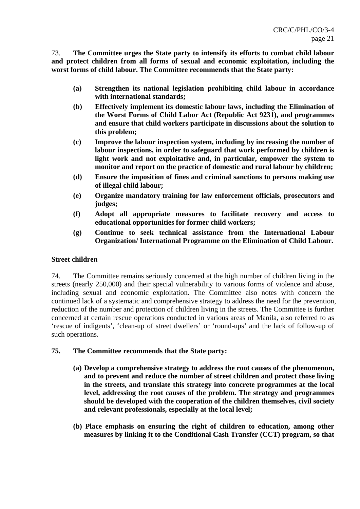73. **The Committee urges the State party to intensify its efforts to combat child labour and protect children from all forms of sexual and economic exploitation, including the worst forms of child labour. The Committee recommends that the State party:** 

- **(a) Strengthen its national legislation prohibiting child labour in accordance with international standards;**
- **(b) Effectively implement its domestic labour laws, including the Elimination of the Worst Forms of Child Labor Act (Republic Act 9231), and programmes and ensure that child workers participate in discussions about the solution to this problem;**
- **(c) Improve the labour inspection system, including by increasing the number of labour inspections, in order to safeguard that work performed by children is light work and not exploitative and, in particular, empower the system to monitor and report on the practice of domestic and rural labour by children;**
- **(d) Ensure the imposition of fines and criminal sanctions to persons making use of illegal child labour;**
- **(e) Organize mandatory training for law enforcement officials, prosecutors and judges;**
- **(f) Adopt all appropriate measures to facilitate recovery and access to educational opportunities for former child workers;**
- **(g) Continue to seek technical assistance from the International Labour Organization/ International Programme on the Elimination of Child Labour.**

## **Street children**

74. The Committee remains seriously concerned at the high number of children living in the streets (nearly 250,000) and their special vulnerability to various forms of violence and abuse, including sexual and economic exploitation. The Committee also notes with concern the continued lack of a systematic and comprehensive strategy to address the need for the prevention, reduction of the number and protection of children living in the streets. The Committee is further concerned at certain rescue operations conducted in various areas of Manila, also referred to as 'rescue of indigents', 'clean-up of street dwellers' or 'round-ups' and the lack of follow-up of such operations.

## **75. The Committee recommends that the State party:**

- **(a) Develop a comprehensive strategy to address the root causes of the phenomenon, and to prevent and reduce the number of street children and protect those living in the streets, and translate this strategy into concrete programmes at the local level, addressing the root causes of the problem. The strategy and programmes should be developed with the cooperation of the children themselves, civil society and relevant professionals, especially at the local level;**
- **(b) Place emphasis on ensuring the right of children to education, among other measures by linking it to the Conditional Cash Transfer (CCT) program, so that**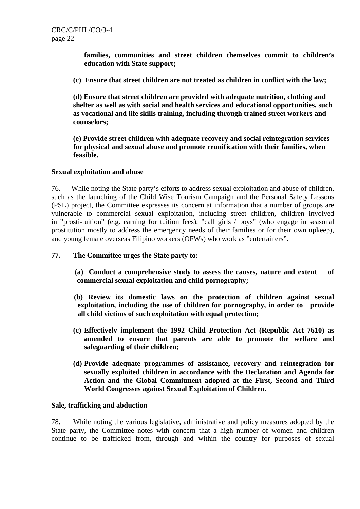**families, communities and street children themselves commit to children's education with State support;** 

**(c) Ensure that street children are not treated as children in conflict with the law;** 

**(d) Ensure that street children are provided with adequate nutrition, clothing and shelter as well as with social and health services and educational opportunities, such as vocational and life skills training, including through trained street workers and counselors;** 

**(e) Provide street children with adequate recovery and social reintegration services for physical and sexual abuse and promote reunification with their families, when feasible.** 

## **Sexual exploitation and abuse**

76. While noting the State party's efforts to address sexual exploitation and abuse of children, such as the launching of the Child Wise Tourism Campaign and the Personal Safety Lessons (PSL) project, the Committee expresses its concern at information that a number of groups are vulnerable to commercial sexual exploitation, including street children, children involved in "prosti-tuition" (e.g. earning for tuition fees), "call girls / boys" (who engage in seasonal prostitution mostly to address the emergency needs of their families or for their own upkeep), and young female overseas Filipino workers (OFWs) who work as "entertainers".

- **77. The Committee urges the State party to:** 
	- **(a) Conduct a comprehensive study to assess the causes, nature and extent of commercial sexual exploitation and child pornography;**
	- **(b) Review its domestic laws on the protection of children against sexual exploitation, including the use of children for pornography, in order to provide all child victims of such exploitation with equal protection;**
	- **(c) Effectively implement the 1992 Child Protection Act (Republic Act 7610) as amended to ensure that parents are able to promote the welfare and safeguarding of their children;**
	- **(d) Provide adequate programmes of assistance, recovery and reintegration for sexually exploited children in accordance with the Declaration and Agenda for Action and the Global Commitment adopted at the First, Second and Third World Congresses against Sexual Exploitation of Children.**

## **Sale, trafficking and abduction**

78. While noting the various legislative, administrative and policy measures adopted by the State party, the Committee notes with concern that a high number of women and children continue to be trafficked from, through and within the country for purposes of sexual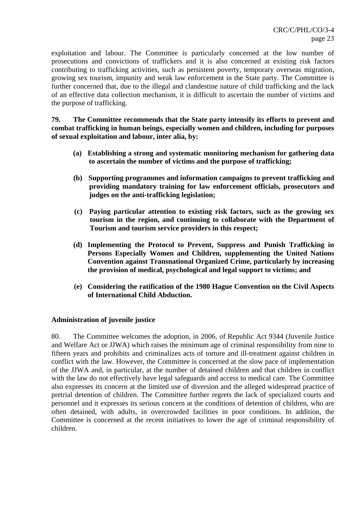exploitation and labour. The Committee is particularly concerned at the low number of prosecutions and convictions of traffickers and it is also concerned at existing risk factors contributing to trafficking activities, such as persistent poverty, temporary overseas migration, growing sex tourism, impunity and weak law enforcement in the State party. The Committee is further concerned that, due to the illegal and clandestine nature of child trafficking and the lack of an effective data collection mechanism, it is difficult to ascertain the number of victims and the purpose of trafficking.

**79. The Committee recommends that the State party intensify its efforts to prevent and combat trafficking in human beings, especially women and children, including for purposes of sexual exploitation and labour, inter alia, by:** 

- **(a) Establishing a strong and systematic monitoring mechanism for gathering data to ascertain the number of victims and the purpose of trafficking;**
- **(b) Supporting programmes and information campaigns to prevent trafficking and providing mandatory training for law enforcement officials, prosecutors and judges on the anti-trafficking legislation;**
- **(c) Paying particular attention to existing risk factors, such as the growing sex tourism in the region, and continuing to collaborate with the Department of Tourism and tourism service providers in this respect;**
- **(d) Implementing the Protocol to Prevent, Suppress and Punish Trafficking in Persons Especially Women and Children, supplementing the United Nations Convention against Transnational Organized Crime, particularly by increasing the provision of medical, psychological and legal support to victims; and**
- **(e) Considering the ratification of the 1980 Hague Convention on the Civil Aspects of International Child Abduction.**

# **Administration of juvenile justice**

80. The Committee welcomes the adoption, in 2006, of Republic Act 9344 (Juvenile Justice and Welfare Act or JJWA) which raises the minimum age of criminal responsibility from nine to fifteen years and prohibits and criminalizes acts of torture and ill-treatment against children in conflict with the law. However, the Committee is concerned at the slow pace of implementation of the JJWA and, in particular, at the number of detained children and that children in conflict with the law do not effectively have legal safeguards and access to medical care. The Committee also expresses its concern at the limited use of diversion and the alleged widespread practice of pretrial detention of children. The Committee further regrets the lack of specialized courts and personnel and it expresses its serious concern at the conditions of detention of children, who are often detained, with adults, in overcrowded facilities in poor conditions. In addition, the Committee is concerned at the recent initiatives to lower the age of criminal responsibility of children.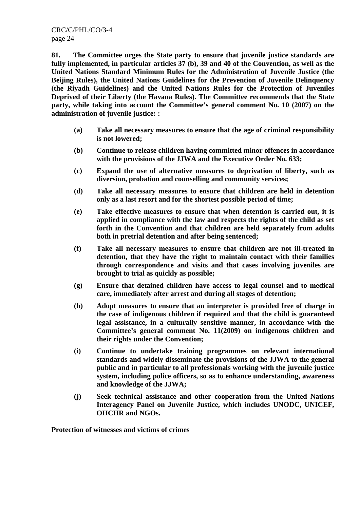**81. The Committee urges the State party to ensure that juvenile justice standards are fully implemented, in particular articles 37 (b), 39 and 40 of the Convention, as well as the United Nations Standard Minimum Rules for the Administration of Juvenile Justice (the Beijing Rules), the United Nations Guidelines for the Prevention of Juvenile Delinquency (the Riyadh Guidelines) and the United Nations Rules for the Protection of Juveniles Deprived of their Liberty (the Havana Rules). The Committee recommends that the State party, while taking into account the Committee's general comment No. 10 (2007) on the administration of juvenile justice: :** 

- **(a) Take all necessary measures to ensure that the age of criminal responsibility is not lowered;**
- **(b) Continue to release children having committed minor offences in accordance with the provisions of the JJWA and the Executive Order No. 633;**
- **(c) Expand the use of alternative measures to deprivation of liberty, such as diversion, probation and counselling and community services;**
- **(d) Take all necessary measures to ensure that children are held in detention only as a last resort and for the shortest possible period of time;**
- **(e) Take effective measures to ensure that when detention is carried out, it is applied in compliance with the law and respects the rights of the child as set forth in the Convention and that children are held separately from adults both in pretrial detention and after being sentenced;**
- **(f) Take all necessary measures to ensure that children are not ill-treated in detention, that they have the right to maintain contact with their families through correspondence and visits and that cases involving juveniles are brought to trial as quickly as possible;**
- **(g) Ensure that detained children have access to legal counsel and to medical care, immediately after arrest and during all stages of detention;**
- **(h) Adopt measures to ensure that an interpreter is provided free of charge in the case of indigenous children if required and that the child is guaranteed legal assistance, in a culturally sensitive manner, in accordance with the Committee's general comment No. 11(2009) on indigenous children and their rights under the Convention;**
- **(i) Continue to undertake training programmes on relevant international standards and widely disseminate the provisions of the JJWA to the general public and in particular to all professionals working with the juvenile justice system, including police officers, so as to enhance understanding, awareness and knowledge of the JJWA;**
- **(j) Seek technical assistance and other cooperation from the United Nations Interagency Panel on Juvenile Justice, which includes UNODC, UNICEF, OHCHR and NGOs.**

**Protection of witnesses and victims of crimes**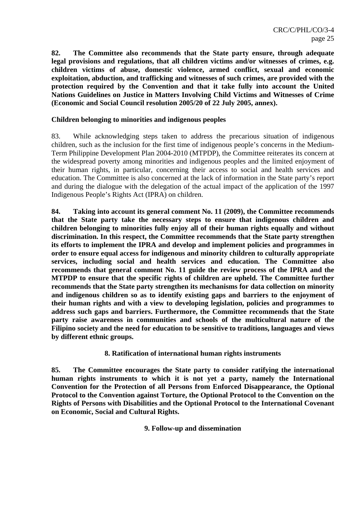**82. The Committee also recommends that the State party ensure, through adequate legal provisions and regulations, that all children victims and/or witnesses of crimes, e.g. children victims of abuse, domestic violence, armed conflict, sexual and economic exploitation, abduction, and trafficking and witnesses of such crimes, are provided with the protection required by the Convention and that it take fully into account the United Nations Guidelines on Justice in Matters Involving Child Victims and Witnesses of Crime (Economic and Social Council resolution 2005/20 of 22 July 2005, annex).** 

## **Children belonging to minorities and indigenous peoples**

83. While acknowledging steps taken to address the precarious situation of indigenous children, such as the inclusion for the first time of indigenous people's concerns in the Medium-Term Philippine Development Plan 2004-2010 (MTPDP), the Committee reiterates its concern at the widespread poverty among minorities and indigenous peoples and the limited enjoyment of their human rights, in particular, concerning their access to social and health services and education. The Committee is also concerned at the lack of information in the State party's report and during the dialogue with the delegation of the actual impact of the application of the 1997 Indigenous People's Rights Act (IPRA) on children.

**84. Taking into account its general comment No. 11 (2009), the Committee recommends that the State party take the necessary steps to ensure that indigenous children and children belonging to minorities fully enjoy all of their human rights equally and without discrimination. In this respect, the Committee recommends that the State party strengthen its efforts to implement the IPRA and develop and implement policies and programmes in order to ensure equal access for indigenous and minority children to culturally appropriate services, including social and health services and education. The Committee also recommends that general comment No. 11 guide the review process of the IPRA and the MTPDP to ensure that the specific rights of children are upheld. The Committee further recommends that the State party strengthen its mechanisms for data collection on minority and indigenous children so as to identify existing gaps and barriers to the enjoyment of their human rights and with a view to developing legislation, policies and programmes to address such gaps and barriers. Furthermore, the Committee recommends that the State party raise awareness in communities and schools of the multicultural nature of the Filipino society and the need for education to be sensitive to traditions, languages and views by different ethnic groups.** 

## **8. Ratification of international human rights instruments**

**85. The Committee encourages the State party to consider ratifying the international human rights instruments to which it is not yet a party, namely the International Convention for the Protection of all Persons from Enforced Disappearance, the Optional Protocol to the Convention against Torture, the Optional Protocol to the Convention on the Rights of Persons with Disabilities and the Optional Protocol to the International Covenant on Economic, Social and Cultural Rights.** 

## **9. Follow-up and dissemination**